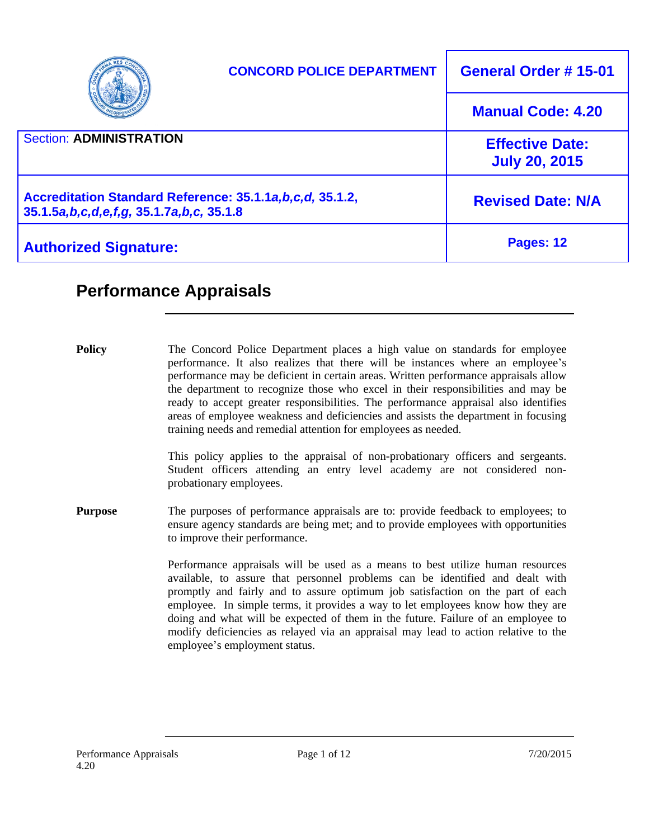|                                                                                                         | <b>CONCORD POLICE DEPARTMENT</b> | <b>General Order #15-01</b>                    |
|---------------------------------------------------------------------------------------------------------|----------------------------------|------------------------------------------------|
|                                                                                                         |                                  | <b>Manual Code: 4.20</b>                       |
| <b>Section: ADMINISTRATION</b>                                                                          |                                  | <b>Effective Date:</b><br><b>July 20, 2015</b> |
| Accreditation Standard Reference: 35.1.1a, b, c, d, 35.1.2,<br>35.1.5a,b,c,d,e,f,g, 35.1.7a,b,c, 35.1.8 |                                  | <b>Revised Date: N/A</b>                       |
| <b>Authorized Signature:</b>                                                                            |                                  | Pages: 12                                      |

# **Performance Appraisals**

**Policy** The Concord Police Department places a high value on standards for employee performance. It also realizes that there will be instances where an employee's performance may be deficient in certain areas. Written performance appraisals allow the department to recognize those who excel in their responsibilities and may be ready to accept greater responsibilities. The performance appraisal also identifies areas of employee weakness and deficiencies and assists the department in focusing training needs and remedial attention for employees as needed.

> This policy applies to the appraisal of non-probationary officers and sergeants. Student officers attending an entry level academy are not considered nonprobationary employees.

**Purpose** The purposes of performance appraisals are to: provide feedback to employees; to ensure agency standards are being met; and to provide employees with opportunities to improve their performance.

> Performance appraisals will be used as a means to best utilize human resources available, to assure that personnel problems can be identified and dealt with promptly and fairly and to assure optimum job satisfaction on the part of each employee. In simple terms, it provides a way to let employees know how they are doing and what will be expected of them in the future. Failure of an employee to modify deficiencies as relayed via an appraisal may lead to action relative to the employee's employment status.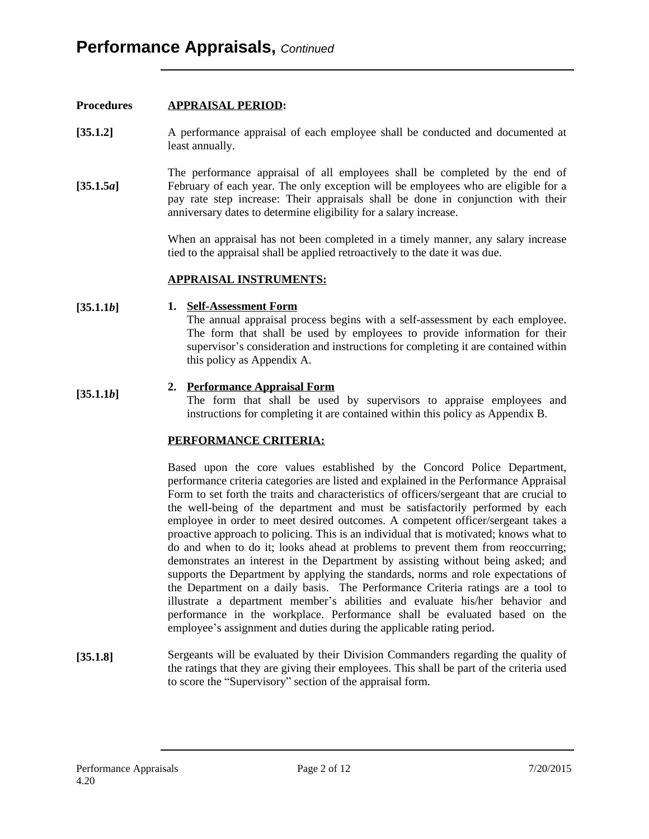## **Procedures [35.1.2] [35.1.5***a***] APPRAISAL PERIOD:** A performance appraisal of each employee shall be conducted and documented at least annually. The performance appraisal of all employees shall be completed by the end of February of each year. The only exception will be employees who are eligible for a pay rate step increase: Their appraisals shall be done in conjunction with their anniversary dates to determine eligibility for a salary increase. When an appraisal has not been completed in a timely manner, any salary increase tied to the appraisal shall be applied retroactively to the date it was due. **[35.1.1***b***] [35.1.1***b***] APPRAISAL INSTRUMENTS: 1. Self-Assessment Form** The annual appraisal process begins with a self-assessment by each employee. The form that shall be used by employees to provide information for their supervisor's consideration and instructions for completing it are contained within this policy as Appendix A. **2. Performance Appraisal Form** The form that shall be used by supervisors to appraise employees and instructions for completing it are contained within this policy as Appendix B. **PERFORMANCE CRITERIA:**

Based upon the core values established by the Concord Police Department, performance criteria categories are listed and explained in the Performance Appraisal Form to set forth the traits and characteristics of officers/sergeant that are crucial to the well-being of the department and must be satisfactorily performed by each employee in order to meet desired outcomes. A competent officer/sergeant takes a proactive approach to policing. This is an individual that is motivated; knows what to do and when to do it; looks ahead at problems to prevent them from reoccurring; demonstrates an interest in the Department by assisting without being asked; and supports the Department by applying the standards, norms and role expectations of the Department on a daily basis. The Performance Criteria ratings are a tool to illustrate a department member's abilities and evaluate his/her behavior and performance in the workplace. Performance shall be evaluated based on the employee's assignment and duties during the applicable rating period.

**[35.1.8]** Sergeants will be evaluated by their Division Commanders regarding the quality of the ratings that they are giving their employees. This shall be part of the criteria used to score the "Supervisory" section of the appraisal form.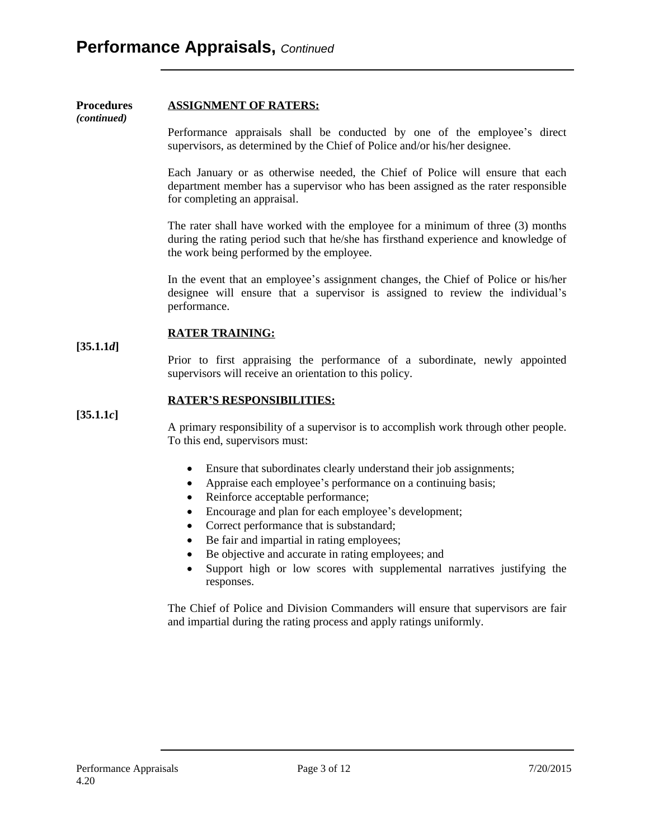#### **Procedures ASSIGNMENT OF RATERS:**

*(continued)*

Performance appraisals shall be conducted by one of the employee's direct supervisors, as determined by the Chief of Police and/or his/her designee.

Each January or as otherwise needed, the Chief of Police will ensure that each department member has a supervisor who has been assigned as the rater responsible for completing an appraisal.

The rater shall have worked with the employee for a minimum of three (3) months during the rating period such that he/she has firsthand experience and knowledge of the work being performed by the employee.

In the event that an employee's assignment changes, the Chief of Police or his/her designee will ensure that a supervisor is assigned to review the individual's performance.

#### **RATER TRAINING:**

Prior to first appraising the performance of a subordinate, newly appointed supervisors will receive an orientation to this policy.

#### **RATER'S RESPONSIBILITIES:**

**[35.1.1***c***]**

**[35.1.1***d***]**

A primary responsibility of a supervisor is to accomplish work through other people. To this end, supervisors must:

- Ensure that subordinates clearly understand their job assignments;
- Appraise each employee's performance on a continuing basis;
- Reinforce acceptable performance;
- Encourage and plan for each employee's development;
- Correct performance that is substandard;
- Be fair and impartial in rating employees;
- Be objective and accurate in rating employees; and
- Support high or low scores with supplemental narratives justifying the responses.

The Chief of Police and Division Commanders will ensure that supervisors are fair and impartial during the rating process and apply ratings uniformly.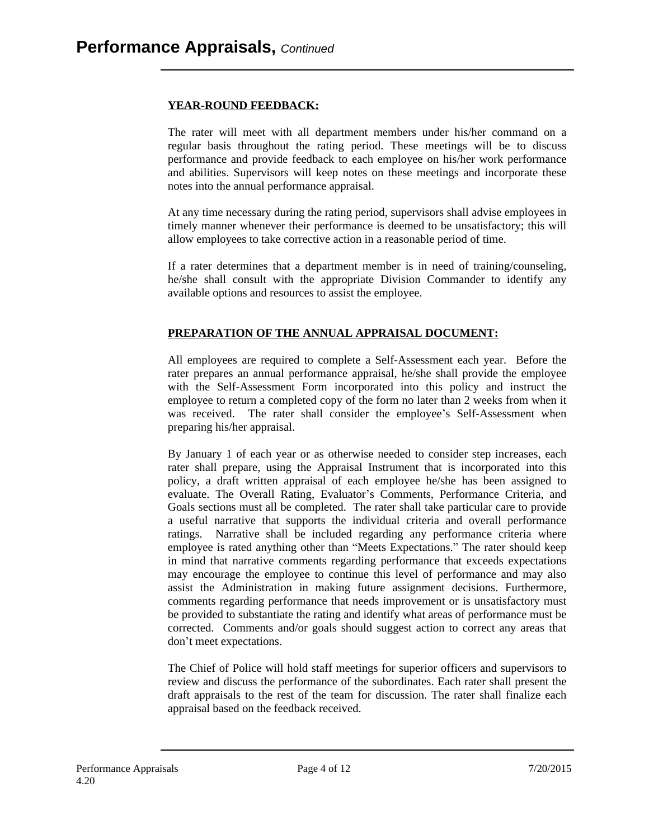## **YEAR-ROUND FEEDBACK:**

The rater will meet with all department members under his/her command on a regular basis throughout the rating period. These meetings will be to discuss performance and provide feedback to each employee on his/her work performance and abilities. Supervisors will keep notes on these meetings and incorporate these notes into the annual performance appraisal.

At any time necessary during the rating period, supervisors shall advise employees in timely manner whenever their performance is deemed to be unsatisfactory; this will allow employees to take corrective action in a reasonable period of time.

If a rater determines that a department member is in need of training/counseling, he/she shall consult with the appropriate Division Commander to identify any available options and resources to assist the employee.

## **PREPARATION OF THE ANNUAL APPRAISAL DOCUMENT:**

All employees are required to complete a Self-Assessment each year. Before the rater prepares an annual performance appraisal, he/she shall provide the employee with the Self-Assessment Form incorporated into this policy and instruct the employee to return a completed copy of the form no later than 2 weeks from when it was received. The rater shall consider the employee's Self-Assessment when preparing his/her appraisal.

By January 1 of each year or as otherwise needed to consider step increases, each rater shall prepare, using the Appraisal Instrument that is incorporated into this policy, a draft written appraisal of each employee he/she has been assigned to evaluate. The Overall Rating, Evaluator's Comments, Performance Criteria, and Goals sections must all be completed. The rater shall take particular care to provide a useful narrative that supports the individual criteria and overall performance ratings. Narrative shall be included regarding any performance criteria where employee is rated anything other than "Meets Expectations." The rater should keep in mind that narrative comments regarding performance that exceeds expectations may encourage the employee to continue this level of performance and may also assist the Administration in making future assignment decisions. Furthermore, comments regarding performance that needs improvement or is unsatisfactory must be provided to substantiate the rating and identify what areas of performance must be corrected. Comments and/or goals should suggest action to correct any areas that don't meet expectations.

The Chief of Police will hold staff meetings for superior officers and supervisors to review and discuss the performance of the subordinates. Each rater shall present the draft appraisals to the rest of the team for discussion. The rater shall finalize each appraisal based on the feedback received.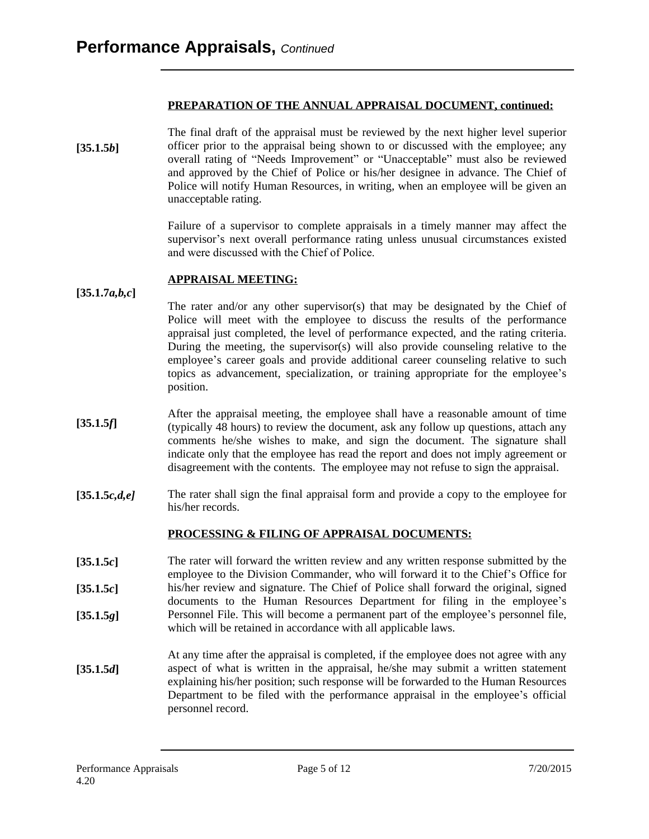## **PREPARATION OF THE ANNUAL APPRAISAL DOCUMENT, continued:**

**[35.1.5***b***]** The final draft of the appraisal must be reviewed by the next higher level superior officer prior to the appraisal being shown to or discussed with the employee; any overall rating of "Needs Improvement" or "Unacceptable" must also be reviewed and approved by the Chief of Police or his/her designee in advance. The Chief of Police will notify Human Resources, in writing, when an employee will be given an unacceptable rating.

> Failure of a supervisor to complete appraisals in a timely manner may affect the supervisor's next overall performance rating unless unusual circumstances existed and were discussed with the Chief of Police.

#### **APPRAISAL MEETING:**

**[35.1.7***a,b,c***]**

The rater and/or any other supervisor(s) that may be designated by the Chief of Police will meet with the employee to discuss the results of the performance appraisal just completed, the level of performance expected, and the rating criteria. During the meeting, the supervisor(s) will also provide counseling relative to the employee's career goals and provide additional career counseling relative to such topics as advancement, specialization, or training appropriate for the employee's position.

- **[35.1.5***f***]** After the appraisal meeting, the employee shall have a reasonable amount of time (typically 48 hours) to review the document, ask any follow up questions, attach any comments he/she wishes to make, and sign the document. The signature shall indicate only that the employee has read the report and does not imply agreement or disagreement with the contents. The employee may not refuse to sign the appraisal.
- **[35.1.5***c,d,e]* The rater shall sign the final appraisal form and provide a copy to the employee for his/her records.

## **PROCESSING & FILING OF APPRAISAL DOCUMENTS:**

- **[35.1.5***c***] [35.1.5***c***] [35.1.5***g***]** The rater will forward the written review and any written response submitted by the employee to the Division Commander, who will forward it to the Chief's Office for his/her review and signature. The Chief of Police shall forward the original, signed documents to the Human Resources Department for filing in the employee's Personnel File. This will become a permanent part of the employee's personnel file, which will be retained in accordance with all applicable laws.
- **[35.1.5***d***]** At any time after the appraisal is completed, if the employee does not agree with any aspect of what is written in the appraisal, he/she may submit a written statement explaining his/her position; such response will be forwarded to the Human Resources Department to be filed with the performance appraisal in the employee's official personnel record.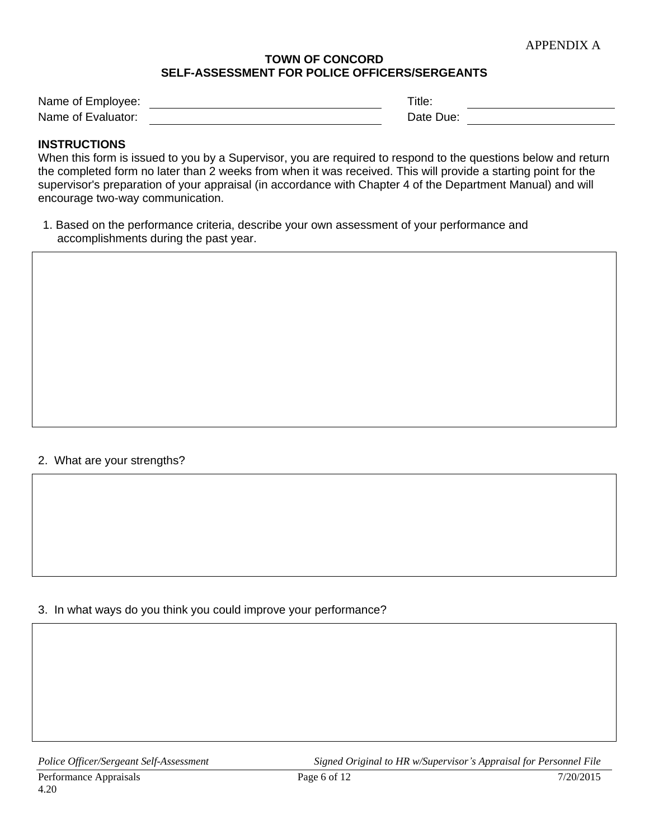## **TOWN OF CONCORD SELF-ASSESSMENT FOR POLICE OFFICERS/SERGEANTS**

| Name of Employee:  | ™itle.    |  |
|--------------------|-----------|--|
| Name of Evaluator: | Date Due: |  |

## **INSTRUCTIONS**

When this form is issued to you by a Supervisor, you are required to respond to the questions below and return the completed form no later than 2 weeks from when it was received. This will provide a starting point for the supervisor's preparation of your appraisal (in accordance with Chapter 4 of the Department Manual) and will encourage two-way communication.

1. Based on the performance criteria, describe your own assessment of your performance and accomplishments during the past year.

#### 2. What are your strengths?

3. In what ways do you think you could improve your performance?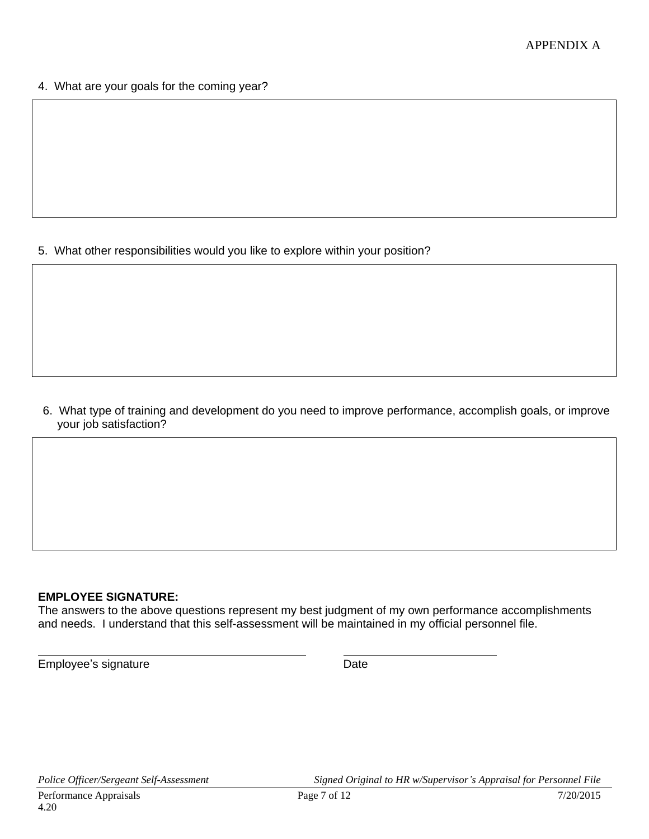4. What are your goals for the coming year?

5. What other responsibilities would you like to explore within your position?

6. What type of training and development do you need to improve performance, accomplish goals, or improve your job satisfaction?

## **EMPLOYEE SIGNATURE:**

The answers to the above questions represent my best judgment of my own performance accomplishments and needs. I understand that this self-assessment will be maintained in my official personnel file.

Employee's signature Date Date

 $\overline{a}$ 

*Police Officer/Sergeant Self-Assessment Signed Original to HR w/Supervisor's Appraisal for Personnel File*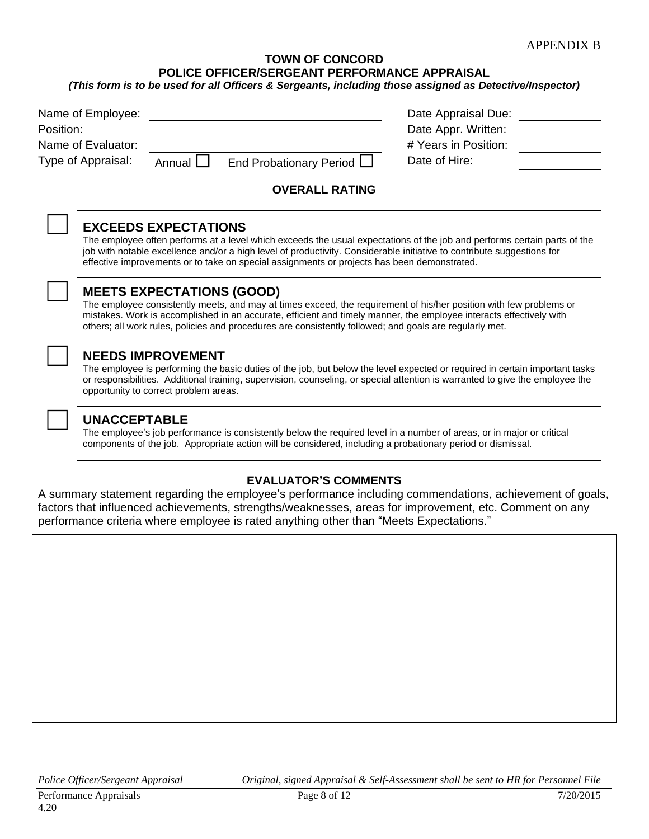## **TOWN OF CONCORD POLICE OFFICER/SERGEANT PERFORMANCE APPRAISAL**

| Name of Employee:<br>Position:<br>Name of Evaluator:<br>Type of Appraisal: | Annual $\Box$ | End Probationary Period $\Box$ | Date Appraisal Due:<br>Date Appr. Written:<br># Years in Position:<br>Date of Hire: |  |
|----------------------------------------------------------------------------|---------------|--------------------------------|-------------------------------------------------------------------------------------|--|
|                                                                            |               | <b>OVERALL RATING</b>          |                                                                                     |  |

#### ☐ **EXCEEDS EXPECTATIONS**

The employee often performs at a level which exceeds the usual expectations of the job and performs certain parts of the job with notable excellence and/or a high level of productivity. Considerable initiative to contribute suggestions for effective improvements or to take on special assignments or projects has been demonstrated.

## ☐ **MEETS EXPECTATIONS (GOOD)**

The employee consistently meets, and may at times exceed, the requirement of his/her position with few problems or mistakes. Work is accomplished in an accurate, efficient and timely manner, the employee interacts effectively with others; all work rules, policies and procedures are consistently followed; and goals are regularly met.

|  | <b>NEEDS IMPROVEMENT</b> |
|--|--------------------------|
|  |                          |

**THE IMPROVEMENT**<br>The employee is performing the basic duties of the job, but below the level expected or required in certain important tasks or responsibilities. Additional training, supervision, counseling, or special attention is warranted to give the employee the opportunity to correct problem areas.

## ☐ **UNACCEPTABLE**

The employee's job performance is consistently below the required level in a number of areas, or in major or critical components of the job. Appropriate action will be considered, including a probationary period or dismissal.

## **EVALUATOR'S COMMENTS**

A summary statement regarding the employee's performance including commendations, achievement of goals, factors that influenced achievements, strengths/weaknesses, areas for improvement, etc. Comment on any performance criteria where employee is rated anything other than "Meets Expectations."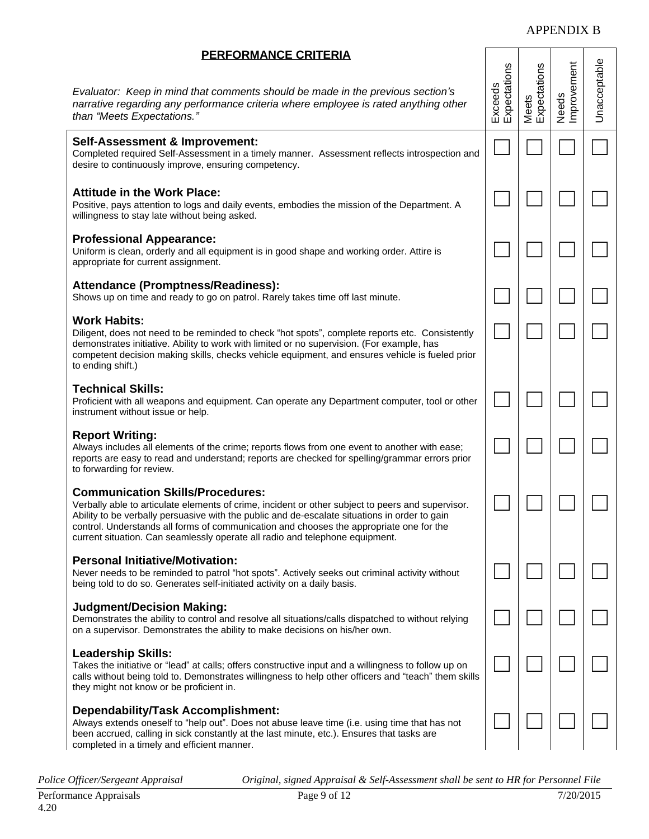#### APPENDIX B

Needs<br>Improvement Improvement Unacceptable

Meets Expectations

☐ ☐ ☐ ☐

☐ ☐ ☐ ☐

☐ ☐ ☐ ☐

☐ ☐ ☐ ☐

☐ ☐ ☐ ☐

☐ ☐ ☐ ☐

☐ ☐ ☐ ☐

☐ ☐ ☐ ☐

☐ ☐ ☐ ☐

☐ ☐ ☐ ☐

☐ ☐ ☐ ☐

Exceeds **Expectations** 

*Evaluator: Keep in mind that comments should be made in the previous section's narrative regarding any performance criteria where employee is rated anything other than "Meets Expectations."*

#### **Self-Assessment & Improvement:**

Completed required Self-Assessment in a timely manner. Assessment reflects introspection and desire to continuously improve, ensuring competency.

#### **Attitude in the Work Place:**

Positive, pays attention to logs and daily events, embodies the mission of the Department. A willingness to stay late without being asked.

#### **Professional Appearance:**

Uniform is clean, orderly and all equipment is in good shape and working order. Attire is appropriate for current assignment.

#### **Attendance (Promptness/Readiness):**

Shows up on time and ready to go on patrol. Rarely takes time off last minute.

#### **Work Habits:**

Diligent, does not need to be reminded to check "hot spots", complete reports etc. Consistently demonstrates initiative. Ability to work with limited or no supervision. (For example, has competent decision making skills, checks vehicle equipment, and ensures vehicle is fueled prior to ending shift.)

#### **Technical Skills:**

Proficient with all weapons and equipment. Can operate any Department computer, tool or other instrument without issue or help.

#### **Report Writing:**

Always includes all elements of the crime; reports flows from one event to another with ease; reports are easy to read and understand; reports are checked for spelling/grammar errors prior to forwarding for review.

#### **Communication Skills/Procedures:**

Verbally able to articulate elements of crime, incident or other subject to peers and supervisor. Ability to be verbally persuasive with the public and de-escalate situations in order to gain control. Understands all forms of communication and chooses the appropriate one for the current situation. Can seamlessly operate all radio and telephone equipment.

#### **Personal Initiative/Motivation:**

Never needs to be reminded to patrol "hot spots". Actively seeks out criminal activity without being told to do so. Generates self-initiated activity on a daily basis.

#### **Judgment/Decision Making:**

Demonstrates the ability to control and resolve all situations/calls dispatched to without relying on a supervisor. Demonstrates the ability to make decisions on his/her own.

#### **Leadership Skills:**

Takes the initiative or "lead" at calls; offers constructive input and a willingness to follow up on calls without being told to. Demonstrates willingness to help other officers and "teach" them skills they might not know or be proficient in.

#### **Dependability/Task Accomplishment:**

Always extends oneself to "help out". Does not abuse leave time (i.e. using time that has not been accrued, calling in sick constantly at the last minute, etc.). Ensures that tasks are completed in a timely and efficient manner.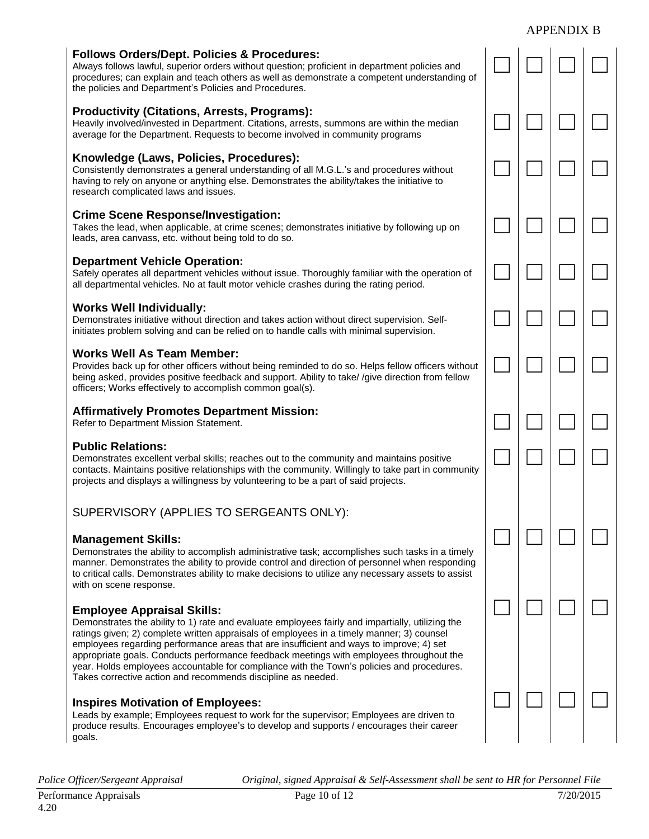#### APPENDIX B

☐ ☐ ☐ ☐

☐ ☐ ☐ ☐

☐ ☐ ☐ ☐

☐ ☐ ☐ ☐

☐ ☐ ☐ ☐

☐ ☐ ☐ ☐

☐ ☐ ☐ ☐

☐ ☐ ☐ ☐

☐ ☐ ☐ ☐

☐ ☐ ☐ ☐

☐ ☐ ☐ ☐

#### **Follows Orders/Dept. Policies & Procedures:**

Always follows lawful, superior orders without question; proficient in department policies and procedures; can explain and teach others as well as demonstrate a competent understanding of the policies and Department's Policies and Procedures.

#### **Productivity (Citations, Arrests, Programs):**

Heavily involved/invested in Department. Citations, arrests, summons are within the median average for the Department. Requests to become involved in community programs

## **Knowledge (Laws, Policies, Procedures):**

Consistently demonstrates a general understanding of all M.G.L.'s and procedures without having to rely on anyone or anything else. Demonstrates the ability/takes the initiative to research complicated laws and issues.

#### **Crime Scene Response/Investigation:**

Takes the lead, when applicable, at crime scenes; demonstrates initiative by following up on leads, area canvass, etc. without being told to do so.

#### **Department Vehicle Operation:**

Safely operates all department vehicles without issue. Thoroughly familiar with the operation of all departmental vehicles. No at fault motor vehicle crashes during the rating period.

#### **Works Well Individually:**

Demonstrates initiative without direction and takes action without direct supervision. Selfinitiates problem solving and can be relied on to handle calls with minimal supervision.

#### **Works Well As Team Member:**

Provides back up for other officers without being reminded to do so. Helps fellow officers without being asked, provides positive feedback and support. Ability to take/ /give direction from fellow officers; Works effectively to accomplish common goal(s).

#### **Affirmatively Promotes Department Mission:**

Refer to Department Mission Statement.

#### **Public Relations:**

Demonstrates excellent verbal skills; reaches out to the community and maintains positive contacts. Maintains positive relationships with the community. Willingly to take part in community projects and displays a willingness by volunteering to be a part of said projects.

## SUPERVISORY (APPLIES TO SERGEANTS ONLY):

#### **Management Skills:**

Demonstrates the ability to accomplish administrative task; accomplishes such tasks in a timely manner. Demonstrates the ability to provide control and direction of personnel when responding to critical calls. Demonstrates ability to make decisions to utilize any necessary assets to assist with on scene response.

#### **Employee Appraisal Skills:**

Demonstrates the ability to 1) rate and evaluate employees fairly and impartially, utilizing the ratings given; 2) complete written appraisals of employees in a timely manner; 3) counsel employees regarding performance areas that are insufficient and ways to improve; 4) set appropriate goals. Conducts performance feedback meetings with employees throughout the year. Holds employees accountable for compliance with the Town's policies and procedures. Takes corrective action and recommends discipline as needed.

#### **Inspires Motivation of Employees:**

Leads by example; Employees request to work for the supervisor; Employees are driven to produce results. Encourages employee's to develop and supports / encourages their career goals.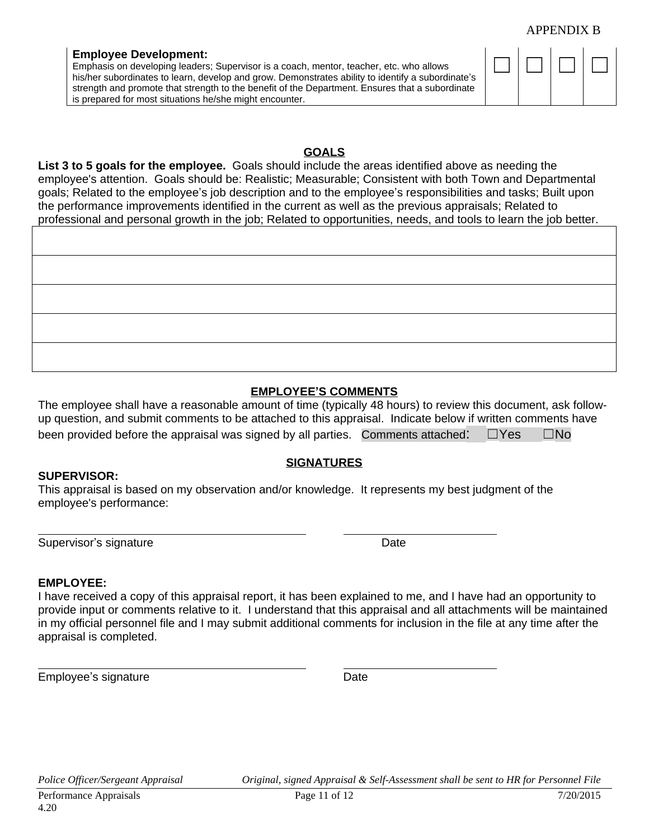#### APPENDIX B

#### **Employee Development:**

Emphasis on developing leaders; Supervisor is a coach, mentor, teacher, etc. who allows his/her subordinates to learn, develop and grow. Demonstrates ability to identify a subordinate's strength and promote that strength to the benefit of the Department. Ensures that a subordinate is prepared for most situations he/she might encounter.

## **GOALS**

**List 3 to 5 goals for the employee.** Goals should include the areas identified above as needing the employee's attention. Goals should be: Realistic; Measurable; Consistent with both Town and Departmental goals; Related to the employee's job description and to the employee's responsibilities and tasks; Built upon the performance improvements identified in the current as well as the previous appraisals; Related to professional and personal growth in the job; Related to opportunities, needs, and tools to learn the job better.

## **EMPLOYEE'S COMMENTS**

The employee shall have a reasonable amount of time (typically 48 hours) to review this document, ask followup question, and submit comments to be attached to this appraisal. Indicate below if written comments have been provided before the appraisal was signed by all parties. Comments attached:  $□Yes \square No$ 

#### **SUPERVISOR:**

#### **SIGNATURES**

This appraisal is based on my observation and/or knowledge. It represents my best judgment of the employee's performance:

Supervisor's signature **Date** Date **Date** 

#### **EMPLOYEE:**

 $\overline{a}$ 

 $\overline{a}$ 

I have received a copy of this appraisal report, it has been explained to me, and I have had an opportunity to provide input or comments relative to it. I understand that this appraisal and all attachments will be maintained in my official personnel file and I may submit additional comments for inclusion in the file at any time after the appraisal is completed.

Employee's signature Date